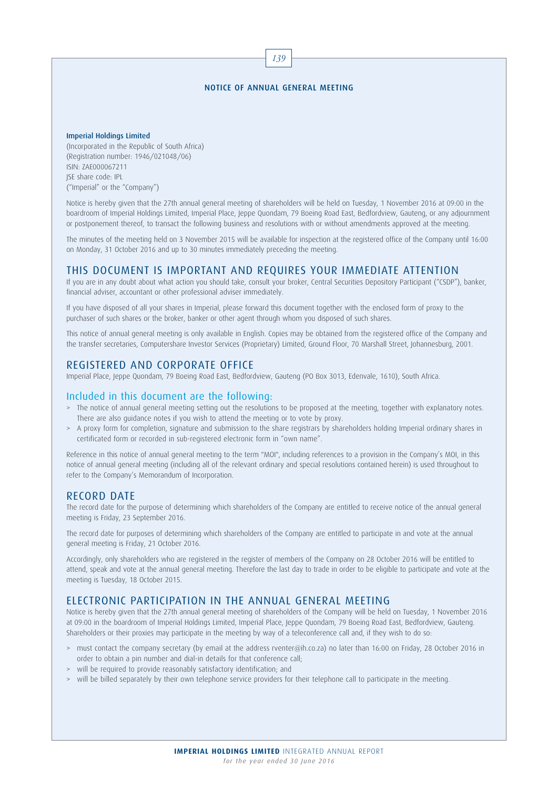#### NOTICE OF ANNUAL GENERAL MEETING

139

#### Imperial Holdings Limited

(Incorporated in the Republic of South Africa) (Registration number: 1946/021048/06) ISIN: ZAE000067211 JSE share code: IPL ("Imperial" or the "Company")

Notice is hereby given that the 27th annual general meeting of shareholders will be held on Tuesday, 1 November 2016 at 09:00 in the boardroom of Imperial Holdings Limited, Imperial Place, Jeppe Quondam, 79 Boeing Road East, Bedfordview, Gauteng, or any adjournment or postponement thereof, to transact the following business and resolutions with or without amendments approved at the meeting.

The minutes of the meeting held on 3 November 2015 will be available for inspection at the registered office of the Company until 16:00 on Monday, 31 October 2016 and up to 30 minutes immediately preceding the meeting.

# THIS DOCUMENT IS IMPORTANT AND REQUIRES YOUR IMMEDIATE ATTENTION

If you are in any doubt about what action you should take, consult your broker, Central Securities Depository Participant ("CSDP"), banker, financial adviser, accountant or other professional adviser immediately.

If you have disposed of all your shares in Imperial, please forward this document together with the enclosed form of proxy to the purchaser of such shares or the broker, banker or other agent through whom you disposed of such shares.

This notice of annual general meeting is only available in English. Copies may be obtained from the registered office of the Company and the transfer secretaries, Computershare Investor Services (Proprietary) Limited, Ground Floor, 70 Marshall Street, Johannesburg, 2001.

# REGISTERED AND CORPORATE OFFICE

Imperial Place, Jeppe Quondam, 79 Boeing Road East, Bedfordview, Gauteng (PO Box 3013, Edenvale, 1610), South Africa.

#### Included in this document are the following:

- > The notice of annual general meeting setting out the resolutions to be proposed at the meeting, together with explanatory notes. There are also guidance notes if you wish to attend the meeting or to vote by proxy.
- > A proxy form for completion, signature and submission to the share registrars by shareholders holding Imperial ordinary shares in certificated form or recorded in sub-registered electronic form in "own name".

Reference in this notice of annual general meeting to the term "MOI", including references to a provision in the Company's MOI, in this notice of annual general meeting (including all of the relevant ordinary and special resolutions contained herein) is used throughout to refer to the Company's Memorandum of Incorporation.

### RECORD DATE

The record date for the purpose of determining which shareholders of the Company are entitled to receive notice of the annual general meeting is Friday, 23 September 2016.

The record date for purposes of determining which shareholders of the Company are entitled to participate in and vote at the annual general meeting is Friday, 21 October 2016.

Accordingly, only shareholders who are registered in the register of members of the Company on 28 October 2016 will be entitled to attend, speak and vote at the annual general meeting. Therefore the last day to trade in order to be eligible to participate and vote at the meeting is Tuesday, 18 October 2015.

### ELECTRONIC PARTICIPATION IN THE ANNUAL GENERAL MEETING

Notice is hereby given that the 27th annual general meeting of shareholders of the Company will be held on Tuesday, 1 November 2016 at 09:00 in the boardroom of Imperial Holdings Limited, Imperial Place, Jeppe Quondam, 79 Boeing Road East, Bedfordview, Gauteng. Shareholders or their proxies may participate in the meeting by way of a teleconference call and, if they wish to do so:

- > must contact the company secretary (by email at the address rventer@ih.co.za) no later than 16:00 on Friday, 28 October 2016 in order to obtain a pin number and dial-in details for that conference call;
- > will be required to provide reasonably satisfactory identification; and
- > will be billed separately by their own telephone service providers for their telephone call to participate in the meeting.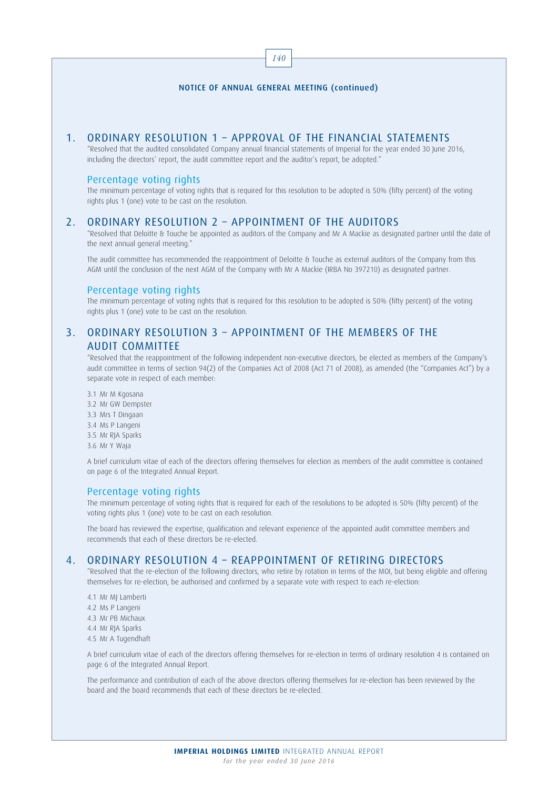#### 140

#### NOTICE OF ANNUAL GENERAL MEETING (continued)

## 1. ORDINARY RESOLUTION 1 – APPROVAL OF THE FINANCIAL STATEMENTS

"Resolved that the audited consolidated Company annual financial statements of Imperial for the year ended 30 June 2016, including the directors' report, the audit committee report and the auditor's report, be adopted."

#### Percentage voting rights

The minimum percentage of voting rights that is required for this resolution to be adopted is 50% (fifty percent) of the voting rights plus 1 (one) vote to be cast on the resolution.

# 2. ORDINARY RESOLUTION 2 – APPOINTMENT OF THE AUDITORS

"Resolved that Deloitte & Touche be appointed as auditors of the Company and Mr A Mackie as designated partner until the date of the next annual general meeting."

The audit committee has recommended the reappointment of Deloitte & Touche as external auditors of the Company from this AGM until the conclusion of the next AGM of the Company with Mr A Mackie (IRBA No 397210) as designated partner.

#### Percentage voting rights

The minimum percentage of voting rights that is required for this resolution to be adopted is 50% (fifty percent) of the voting rights plus 1 (one) vote to be cast on the resolution.

# 3. ORDINARY RESOLUTION 3 – APPOINTMENT OF THE MEMBERS OF THE AUDIT COMMITTEE

"Resolved that the reappointment of the following independent non-executive directors, be elected as members of the Company's audit committee in terms of section 94(2) of the Companies Act of 2008 (Act 71 of 2008), as amended (the "Companies Act") by a separate vote in respect of each member:

3.1 Mr M Kgosana 3.2 Mr GW Dempster 3.3 Mrs T Dingaan 3.4 Ms P Langeni 3.5 Mr RJA Sparks 3.6 Mr Y Waja

A brief curriculum vitae of each of the directors offering themselves for election as members of the audit committee is contained on page 6 of the Integrated Annual Report.

#### Percentage voting rights

The minimum percentage of voting rights that is required for each of the resolutions to be adopted is 50% (fifty percent) of the voting rights plus 1 (one) vote to be cast on each resolution.

The board has reviewed the expertise, qualification and relevant experience of the appointed audit committee members and recommends that each of these directors be re-elected.

### 4. ORDINARY RESOLUTION 4 – REAPPOINTMENT OF RETIRING DIRECTORS

"Resolved that the re-election of the following directors, who retire by rotation in terms of the MOI, but being eligible and offering themselves for re-election, be authorised and confirmed by a separate vote with respect to each re-election:

4.1 Mr MJ Lamberti 4.2 Ms P Langeni 4.3 Mr PB Michaux 4.4 Mr RJA Sparks 4.5 Mr A Tugendhaft

A brief curriculum vitae of each of the directors offering themselves for re-election in terms of ordinary resolution 4 is contained on page 6 of the Integrated Annual Report.

The performance and contribution of each of the above directors offering themselves for re-election has been reviewed by the board and the board recommends that each of these directors be re-elected.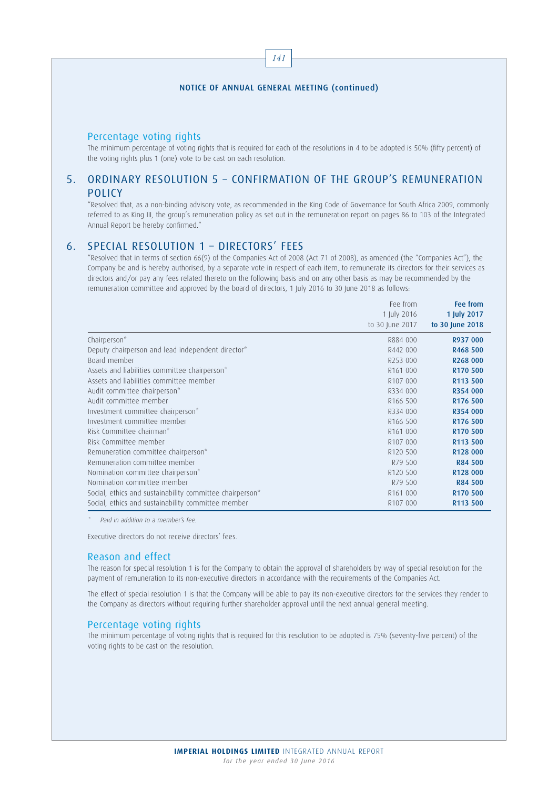141

### Percentage voting rights

The minimum percentage of voting rights that is required for each of the resolutions in 4 to be adopted is 50% (fifty percent) of the voting rights plus 1 (one) vote to be cast on each resolution.

# 5. ORDINARY RESOLUTION 5 – CONFIRMATION OF THE GROUP'S REMUNERATION POLICY

"Resolved that, as a non-binding advisory vote, as recommended in the King Code of Governance for South Africa 2009, commonly referred to as King III, the group's remuneration policy as set out in the remuneration report on pages 86 to 103 of the Integrated Annual Report be hereby confirmed."

# 6. SPECIAL RESOLUTION 1 – DIRECTORS' FEES

"Resolved that in terms of section 66(9) of the Companies Act of 2008 (Act 71 of 2008), as amended (the "Companies Act"), the Company be and is hereby authorised, by a separate vote in respect of each item, to remunerate its directors for their services as directors and/or pay any fees related thereto on the following basis and on any other basis as may be recommended by the remuneration committee and approved by the board of directors, 1 July 2016 to 30 June 2018 as follows:

|                                                          | Fee from             | Fee from             |
|----------------------------------------------------------|----------------------|----------------------|
|                                                          | 1 July 2016          | 1 July 2017          |
|                                                          | to 30 June 2017      | to 30 June 2018      |
| Chairperson*                                             | R884 000             | R937 000             |
| Deputy chairperson and lead independent director*        | R442 000             | R468 500             |
| Board member                                             | R253 000             | R268 000             |
| Assets and liabilities committee chairperson*            | R <sub>161</sub> 000 | R <sub>170</sub> 500 |
| Assets and liabilities committee member                  | R107 000             | R113 500             |
| Audit committee chairperson*                             | R334 000             | R354 000             |
| Audit committee member                                   | R <sub>166</sub> 500 | R <sub>176</sub> 500 |
| Investment committee chairperson*                        | R334 000             | R354 000             |
| Investment committee member                              | R <sub>166</sub> 500 | R <sub>176</sub> 500 |
| Risk Committee chairman*                                 | R <sub>161</sub> 000 | R <sub>170</sub> 500 |
| Risk Committee member                                    | R107 000             | R113 500             |
| Remuneration committee chairperson*                      | R <sub>120</sub> 500 | R <sub>128</sub> 000 |
| Remuneration committee member                            | R79 500              | <b>R84 500</b>       |
| Nomination committee chairperson*                        | R <sub>120</sub> 500 | R <sub>128</sub> 000 |
| Nomination committee member                              | R79 500              | <b>R84 500</b>       |
| Social, ethics and sustainability committee chairperson* | R <sub>161</sub> 000 | R <sub>170</sub> 500 |
| Social, ethics and sustainability committee member       | R107 000             | R113 500             |

Paid in addition to a member's fee.

Executive directors do not receive directors' fees.

#### Reason and effect

The reason for special resolution 1 is for the Company to obtain the approval of shareholders by way of special resolution for the payment of remuneration to its non-executive directors in accordance with the requirements of the Companies Act.

The effect of special resolution 1 is that the Company will be able to pay its non-executive directors for the services they render to the Company as directors without requiring further shareholder approval until the next annual general meeting.

#### Percentage voting rights

The minimum percentage of voting rights that is required for this resolution to be adopted is 75% (seventy-five percent) of the voting rights to be cast on the resolution.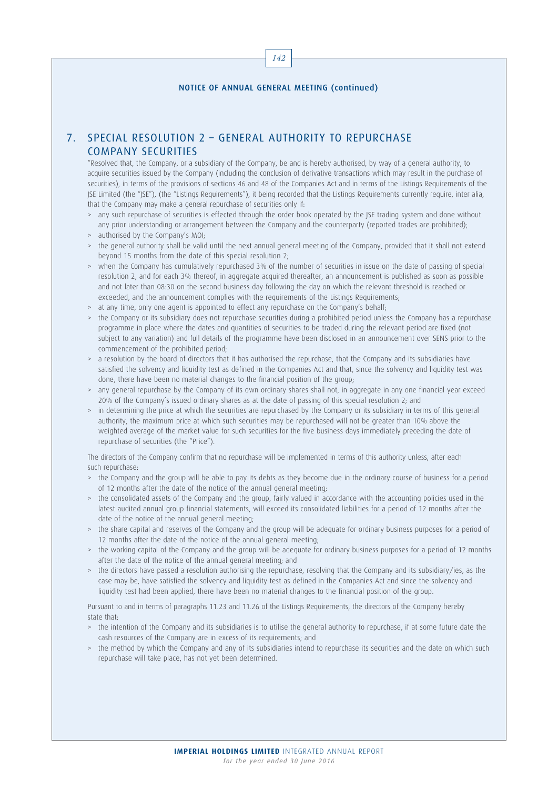142

# 7. SPECIAL RESOLUTION 2 – GENERAL AUTHORITY TO REPURCHASE COMPANY SECURITIES

"Resolved that, the Company, or a subsidiary of the Company, be and is hereby authorised, by way of a general authority, to acquire securities issued by the Company (including the conclusion of derivative transactions which may result in the purchase of securities), in terms of the provisions of sections 46 and 48 of the Companies Act and in terms of the Listings Requirements of the JSE Limited (the "JSE"), (the "Listings Requirements"), it being recorded that the Listings Requirements currently require, inter alia, that the Company may make a general repurchase of securities only if:

- > any such repurchase of securities is effected through the order book operated by the JSE trading system and done without any prior understanding or arrangement between the Company and the counterparty (reported trades are prohibited);
- > authorised by the Company's MOI;
- the general authority shall be valid until the next annual general meeting of the Company, provided that it shall not extend beyond 15 months from the date of this special resolution 2;
- > when the Company has cumulatively repurchased 3% of the number of securities in issue on the date of passing of special resolution 2, and for each 3% thereof, in aggregate acquired thereafter, an announcement is published as soon as possible and not later than 08:30 on the second business day following the day on which the relevant threshold is reached or exceeded, and the announcement complies with the requirements of the Listings Requirements;
- > at any time, only one agent is appointed to effect any repurchase on the Company's behalf;
- > the Company or its subsidiary does not repurchase securities during a prohibited period unless the Company has a repurchase programme in place where the dates and quantities of securities to be traded during the relevant period are fixed (not subject to any variation) and full details of the programme have been disclosed in an announcement over SENS prior to the commencement of the prohibited period;
- > a resolution by the board of directors that it has authorised the repurchase, that the Company and its subsidiaries have satisfied the solvency and liquidity test as defined in the Companies Act and that, since the solvency and liquidity test was done, there have been no material changes to the financial position of the group;
- > any general repurchase by the Company of its own ordinary shares shall not, in aggregate in any one financial year exceed 20% of the Company's issued ordinary shares as at the date of passing of this special resolution 2; and
- in determining the price at which the securities are repurchased by the Company or its subsidiary in terms of this general authority, the maximum price at which such securities may be repurchased will not be greater than 10% above the weighted average of the market value for such securities for the five business days immediately preceding the date of repurchase of securities (the "Price").

The directors of the Company confirm that no repurchase will be implemented in terms of this authority unless, after each such repurchase:

- > the Company and the group will be able to pay its debts as they become due in the ordinary course of business for a period of 12 months after the date of the notice of the annual general meeting;
- > the consolidated assets of the Company and the group, fairly valued in accordance with the accounting policies used in the latest audited annual group financial statements, will exceed its consolidated liabilities for a period of 12 months after the date of the notice of the annual general meeting;
- > the share capital and reserves of the Company and the group will be adequate for ordinary business purposes for a period of 12 months after the date of the notice of the annual general meeting;
- > the working capital of the Company and the group will be adequate for ordinary business purposes for a period of 12 months after the date of the notice of the annual general meeting; and
- > the directors have passed a resolution authorising the repurchase, resolving that the Company and its subsidiary/ies, as the case may be, have satisfied the solvency and liquidity test as defined in the Companies Act and since the solvency and liquidity test had been applied, there have been no material changes to the financial position of the group.

Pursuant to and in terms of paragraphs 11.23 and 11.26 of the Listings Requirements, the directors of the Company hereby state that:

- > the intention of the Company and its subsidiaries is to utilise the general authority to repurchase, if at some future date the cash resources of the Company are in excess of its requirements; and
- > the method by which the Company and any of its subsidiaries intend to repurchase its securities and the date on which such repurchase will take place, has not yet been determined.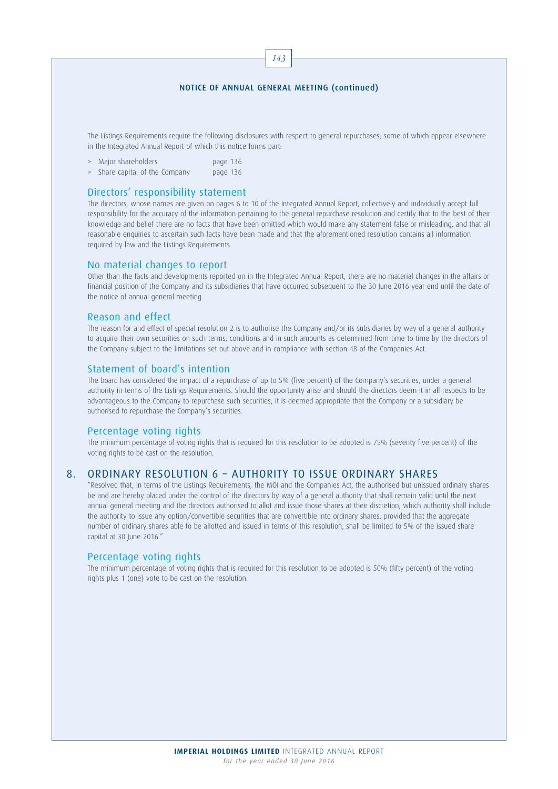143

The Listings Requirements require the following disclosures with respect to general repurchases, some of which appear elsewhere in the Integrated Annual Report of which this notice forms part:

> Major shareholders page 136

> Share capital of the Company page 136

# Directors' responsibility statement

The directors, whose names are given on pages 6 to 10 of the Integrated Annual Report, collectively and individually accept full responsibility for the accuracy of the information pertaining to the general repurchase resolution and certify that to the best of their knowledge and belief there are no facts that have been omitted which would make any statement false or misleading, and that all reasonable enquiries to ascertain such facts have been made and that the aforementioned resolution contains all information required by law and the Listings Requirements.

#### No material changes to report

Other than the facts and developments reported on in the Integrated Annual Report, there are no material changes in the affairs or financial position of the Company and its subsidiaries that have occurred subsequent to the 30 June 2016 year end until the date of the notice of annual general meeting.

### Reason and effect

The reason for and effect of special resolution 2 is to authorise the Company and/or its subsidiaries by way of a general authority to acquire their own securities on such terms, conditions and in such amounts as determined from time to time by the directors of the Company subject to the limitations set out above and in compliance with section 48 of the Companies Act.

### Statement of board's intention

The board has considered the impact of a repurchase of up to 5% (five percent) of the Company's securities, under a general authority in terms of the Listings Requirements. Should the opportunity arise and should the directors deem it in all respects to be advantageous to the Company to repurchase such securities, it is deemed appropriate that the Company or a subsidiary be authorised to repurchase the Company's securities.

#### Percentage voting rights

The minimum percentage of voting rights that is required for this resolution to be adopted is 75% (seventy five percent) of the voting rights to be cast on the resolution.

### 8. ORDINARY RESOLUTION 6 – AUTHORITY TO ISSUE ORDINARY SHARES

"Resolved that, in terms of the Listings Requirements, the MOI and the Companies Act, the authorised but unissued ordinary shares be and are hereby placed under the control of the directors by way of a general authority that shall remain valid until the next annual general meeting and the directors authorised to allot and issue those shares at their discretion, which authority shall include the authority to issue any option/convertible securities that are convertible into ordinary shares, provided that the aggregate number of ordinary shares able to be allotted and issued in terms of this resolution, shall be limited to 5% of the issued share capital at 30 June 2016."

#### Percentage voting rights

The minimum percentage of voting rights that is required for this resolution to be adopted is 50% (fifty percent) of the voting rights plus 1 (one) vote to be cast on the resolution.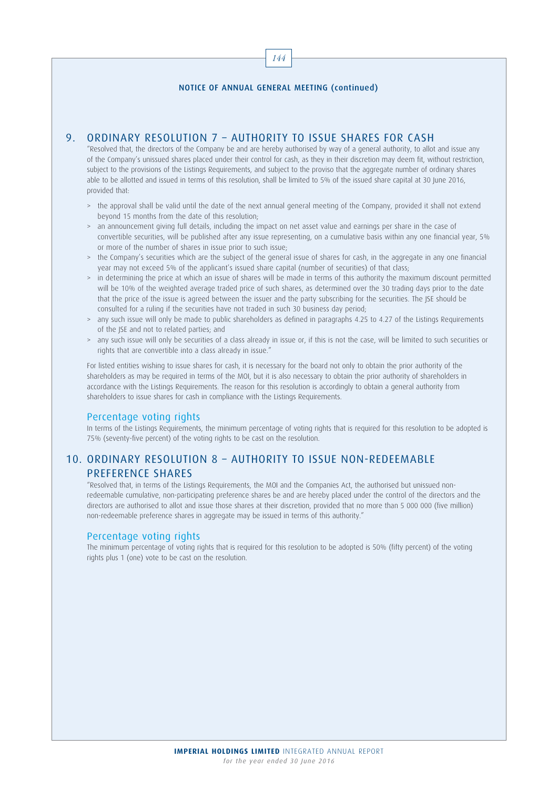144

# 9. ORDINARY RESOLUTION 7 – AUTHORITY TO ISSUE SHARES FOR CASH

"Resolved that, the directors of the Company be and are hereby authorised by way of a general authority, to allot and issue any of the Company's unissued shares placed under their control for cash, as they in their discretion may deem fit, without restriction, subject to the provisions of the Listings Requirements, and subject to the proviso that the aggregate number of ordinary shares able to be allotted and issued in terms of this resolution, shall be limited to 5% of the issued share capital at 30 June 2016, provided that:

- > the approval shall be valid until the date of the next annual general meeting of the Company, provided it shall not extend beyond 15 months from the date of this resolution;
- > an announcement giving full details, including the impact on net asset value and earnings per share in the case of convertible securities, will be published after any issue representing, on a cumulative basis within any one financial year, 5% or more of the number of shares in issue prior to such issue;
- the Company's securities which are the subject of the general issue of shares for cash, in the aggregate in any one financial year may not exceed 5% of the applicant's issued share capital (number of securities) of that class;
- in determining the price at which an issue of shares will be made in terms of this authority the maximum discount permitted will be 10% of the weighted average traded price of such shares, as determined over the 30 trading days prior to the date that the price of the issue is agreed between the issuer and the party subscribing for the securities. The JSE should be consulted for a ruling if the securities have not traded in such 30 business day period;
- > any such issue will only be made to public shareholders as defined in paragraphs 4.25 to 4.27 of the Listings Requirements of the JSE and not to related parties; and
- > any such issue will only be securities of a class already in issue or, if this is not the case, will be limited to such securities or rights that are convertible into a class already in issue."

For listed entities wishing to issue shares for cash, it is necessary for the board not only to obtain the prior authority of the shareholders as may be required in terms of the MOI, but it is also necessary to obtain the prior authority of shareholders in accordance with the Listings Requirements. The reason for this resolution is accordingly to obtain a general authority from shareholders to issue shares for cash in compliance with the Listings Requirements.

### Percentage voting rights

In terms of the Listings Requirements, the minimum percentage of voting rights that is required for this resolution to be adopted is 75% (seventy-five percent) of the voting rights to be cast on the resolution.

# 10. ORDINARY RESOLUTION 8 – AUTHORITY TO ISSUE NON-REDEEMABLE PREFERENCE SHARES

"Resolved that, in terms of the Listings Requirements, the MOI and the Companies Act, the authorised but unissued nonredeemable cumulative, non-participating preference shares be and are hereby placed under the control of the directors and the directors are authorised to allot and issue those shares at their discretion, provided that no more than 5 000 000 (five million) non-redeemable preference shares in aggregate may be issued in terms of this authority."

### Percentage voting rights

The minimum percentage of voting rights that is required for this resolution to be adopted is 50% (fifty percent) of the voting rights plus 1 (one) vote to be cast on the resolution.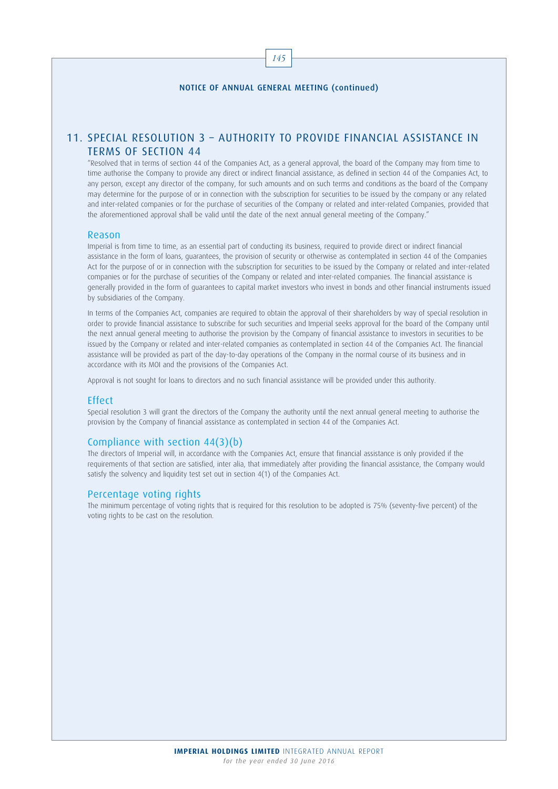# 11. SPECIAL RESOLUTION 3 – AUTHORITY TO PROVIDE FINANCIAL ASSISTANCE IN TERMS OF SECTION 44

"Resolved that in terms of section 44 of the Companies Act, as a general approval, the board of the Company may from time to time authorise the Company to provide any direct or indirect financial assistance, as defined in section 44 of the Companies Act, to any person, except any director of the company, for such amounts and on such terms and conditions as the board of the Company may determine for the purpose of or in connection with the subscription for securities to be issued by the company or any related and inter-related companies or for the purchase of securities of the Company or related and inter-related Companies, provided that the aforementioned approval shall be valid until the date of the next annual general meeting of the Company."

#### Reason

Imperial is from time to time, as an essential part of conducting its business, required to provide direct or indirect financial assistance in the form of loans, guarantees, the provision of security or otherwise as contemplated in section 44 of the Companies Act for the purpose of or in connection with the subscription for securities to be issued by the Company or related and inter-related companies or for the purchase of securities of the Company or related and inter-related companies. The financial assistance is generally provided in the form of guarantees to capital market investors who invest in bonds and other financial instruments issued by subsidiaries of the Company.

In terms of the Companies Act, companies are required to obtain the approval of their shareholders by way of special resolution in order to provide financial assistance to subscribe for such securities and Imperial seeks approval for the board of the Company until the next annual general meeting to authorise the provision by the Company of financial assistance to investors in securities to be issued by the Company or related and inter-related companies as contemplated in section 44 of the Companies Act. The financial assistance will be provided as part of the day-to-day operations of the Company in the normal course of its business and in accordance with its MOI and the provisions of the Companies Act.

Approval is not sought for loans to directors and no such financial assistance will be provided under this authority.

### Effect

Special resolution 3 will grant the directors of the Company the authority until the next annual general meeting to authorise the provision by the Company of financial assistance as contemplated in section 44 of the Companies Act.

### Compliance with section 44(3)(b)

The directors of Imperial will, in accordance with the Companies Act, ensure that financial assistance is only provided if the requirements of that section are satisfied, inter alia, that immediately after providing the financial assistance, the Company would satisfy the solvency and liquidity test set out in section 4(1) of the Companies Act.

#### Percentage voting rights

The minimum percentage of voting rights that is required for this resolution to be adopted is 75% (seventy-five percent) of the voting rights to be cast on the resolution.

145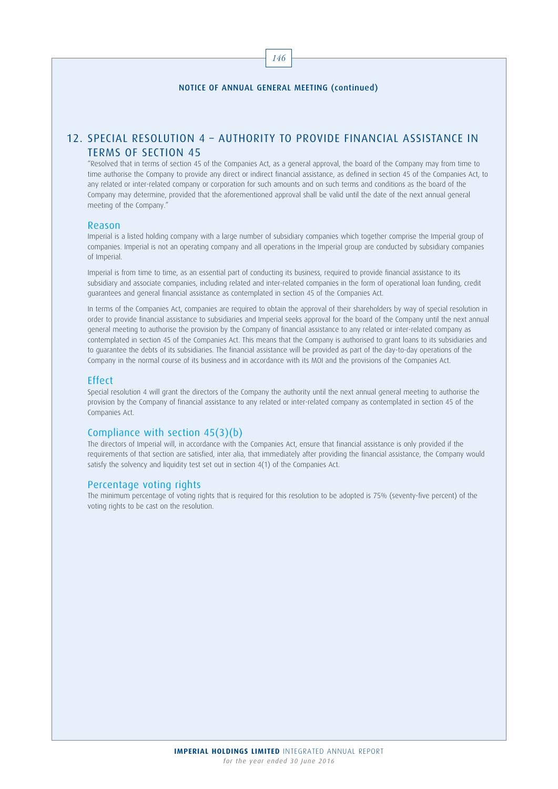146

# 12. SPECIAL RESOLUTION 4 – AUTHORITY TO PROVIDE FINANCIAL ASSISTANCE IN TERMS OF SECTION 45

"Resolved that in terms of section 45 of the Companies Act, as a general approval, the board of the Company may from time to time authorise the Company to provide any direct or indirect financial assistance, as defined in section 45 of the Companies Act, to any related or inter-related company or corporation for such amounts and on such terms and conditions as the board of the Company may determine, provided that the aforementioned approval shall be valid until the date of the next annual general meeting of the Company."

#### Reason

Imperial is a listed holding company with a large number of subsidiary companies which together comprise the Imperial group of companies. Imperial is not an operating company and all operations in the Imperial group are conducted by subsidiary companies of Imperial.

Imperial is from time to time, as an essential part of conducting its business, required to provide financial assistance to its subsidiary and associate companies, including related and inter-related companies in the form of operational loan funding, credit guarantees and general financial assistance as contemplated in section 45 of the Companies Act.

In terms of the Companies Act, companies are required to obtain the approval of their shareholders by way of special resolution in order to provide financial assistance to subsidiaries and Imperial seeks approval for the board of the Company until the next annual general meeting to authorise the provision by the Company of financial assistance to any related or inter-related company as contemplated in section 45 of the Companies Act. This means that the Company is authorised to grant loans to its subsidiaries and to guarantee the debts of its subsidiaries. The financial assistance will be provided as part of the day-to-day operations of the Company in the normal course of its business and in accordance with its MOI and the provisions of the Companies Act.

#### **Effect**

Special resolution 4 will grant the directors of the Company the authority until the next annual general meeting to authorise the provision by the Company of financial assistance to any related or inter-related company as contemplated in section 45 of the Companies Act.

### Compliance with section 45(3)(b)

The directors of Imperial will, in accordance with the Companies Act, ensure that financial assistance is only provided if the requirements of that section are satisfied, inter alia, that immediately after providing the financial assistance, the Company would satisfy the solvency and liquidity test set out in section 4(1) of the Companies Act.

### Percentage voting rights

The minimum percentage of voting rights that is required for this resolution to be adopted is 75% (seventy-five percent) of the voting rights to be cast on the resolution.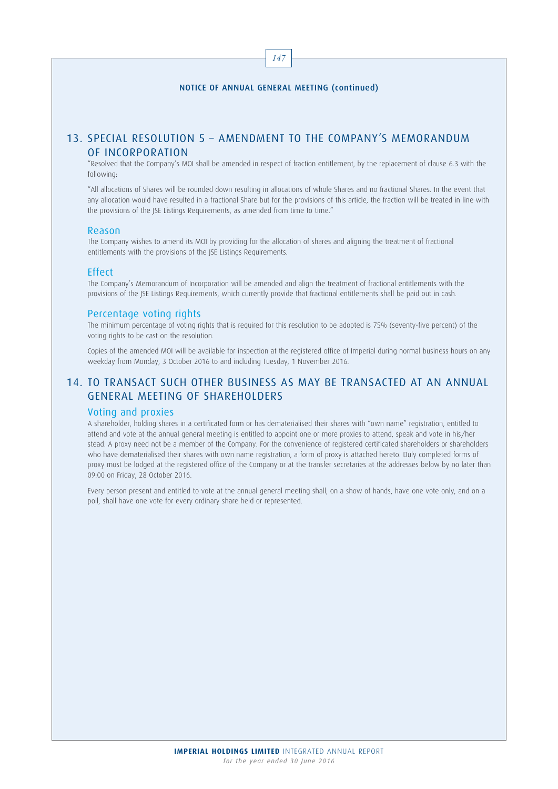147

# 13. SPECIAL RESOLUTION 5 – AMENDMENT TO THE COMPANY'S MEMORANDUM OF INCORPORATION

"Resolved that the Company's MOI shall be amended in respect of fraction entitlement, by the replacement of clause 6.3 with the following:

"All allocations of Shares will be rounded down resulting in allocations of whole Shares and no fractional Shares. In the event that any allocation would have resulted in a fractional Share but for the provisions of this article, the fraction will be treated in line with the provisions of the JSE Listings Requirements, as amended from time to time."

#### Reason

The Company wishes to amend its MOI by providing for the allocation of shares and aligning the treatment of fractional entitlements with the provisions of the JSE Listings Requirements.

#### Effect

The Company's Memorandum of Incorporation will be amended and align the treatment of fractional entitlements with the provisions of the JSE Listings Requirements, which currently provide that fractional entitlements shall be paid out in cash.

#### Percentage voting rights

The minimum percentage of voting rights that is required for this resolution to be adopted is 75% (seventy-five percent) of the voting rights to be cast on the resolution.

Copies of the amended MOI will be available for inspection at the registered office of Imperial during normal business hours on any weekday from Monday, 3 October 2016 to and including Tuesday, 1 November 2016.

# 14. TO TRANSACT SUCH OTHER BUSINESS AS MAY BE TRANSACTED AT AN ANNUAL GENERAL MEETING OF SHAREHOLDERS

### Voting and proxies

A shareholder, holding shares in a certificated form or has dematerialised their shares with "own name" registration, entitled to attend and vote at the annual general meeting is entitled to appoint one or more proxies to attend, speak and vote in his/her stead. A proxy need not be a member of the Company. For the convenience of registered certificated shareholders or shareholders who have dematerialised their shares with own name registration, a form of proxy is attached hereto. Duly completed forms of proxy must be lodged at the registered office of the Company or at the transfer secretaries at the addresses below by no later than 09:00 on Friday, 28 October 2016.

Every person present and entitled to vote at the annual general meeting shall, on a show of hands, have one vote only, and on a poll, shall have one vote for every ordinary share held or represented.